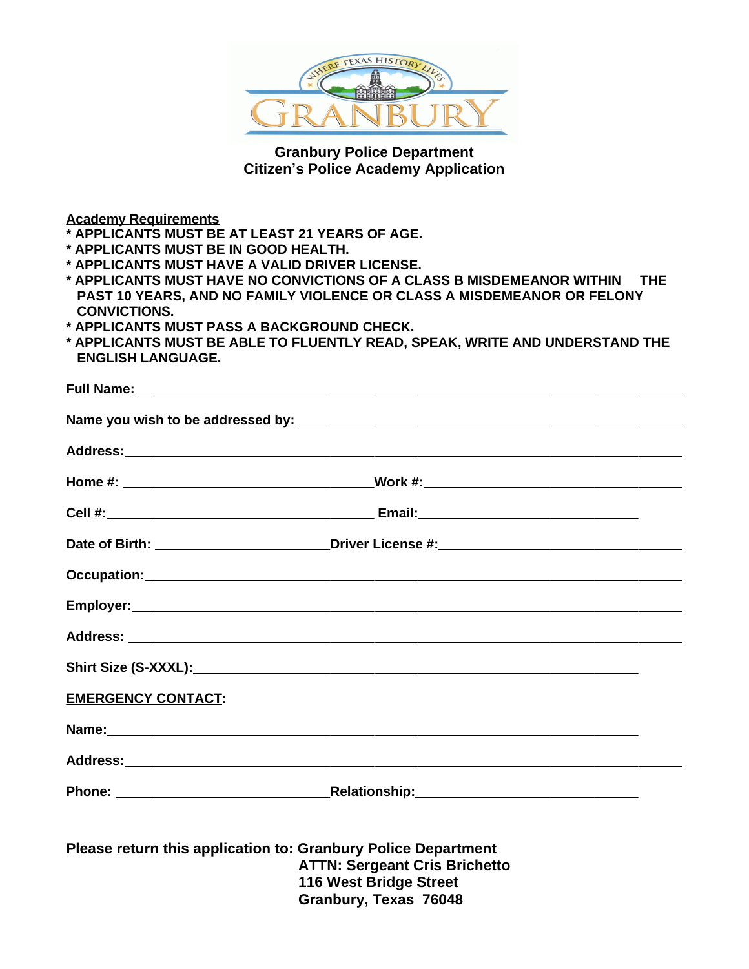

**Granbury Police Department Citizen's Police Academy Application**

**Academy Requirements**

- **\* APPLICANTS MUST BE AT LEAST 21 YEARS OF AGE.**
- **\* APPLICANTS MUST BE IN GOOD HEALTH.**
- **\* APPLICANTS MUST HAVE A VALID DRIVER LICENSE.**
- **\* APPLICANTS MUST HAVE NO CONVICTIONS OF A CLASS B MISDEMEANOR WITHIN THE PAST 10 YEARS, AND NO FAMILY VIOLENCE OR CLASS A MISDEMEANOR OR FELONY CONVICTIONS.**
- **\* APPLICANTS MUST PASS A BACKGROUND CHECK.**
- **\* APPLICANTS MUST BE ABLE TO FLUENTLY READ, SPEAK, WRITE AND UNDERSTAND THE ENGLISH LANGUAGE.**

|                           | Full Name: <u>contract the contract of the contract of the contract of the contract of the contract of the contract of the contract of the contract of the contract of the contract of the contract of the contract of the contr</u> |  |
|---------------------------|--------------------------------------------------------------------------------------------------------------------------------------------------------------------------------------------------------------------------------------|--|
|                           |                                                                                                                                                                                                                                      |  |
|                           |                                                                                                                                                                                                                                      |  |
|                           |                                                                                                                                                                                                                                      |  |
|                           |                                                                                                                                                                                                                                      |  |
|                           |                                                                                                                                                                                                                                      |  |
|                           |                                                                                                                                                                                                                                      |  |
|                           |                                                                                                                                                                                                                                      |  |
|                           |                                                                                                                                                                                                                                      |  |
|                           |                                                                                                                                                                                                                                      |  |
| <b>EMERGENCY CONTACT:</b> |                                                                                                                                                                                                                                      |  |
|                           | Name: 2008. 2009. 2009. 2010. 2010. 2010. 2010. 2010. 2010. 2010. 2010. 2010. 2010. 2010. 2010. 2010. 2010. 20<br>2010. 2010. 2010. 2010. 2010. 2010. 2010. 2010. 2010. 2010. 2010. 2010. 2010. 2010. 2010. 2010. 2010. 2010. 20     |  |
|                           |                                                                                                                                                                                                                                      |  |
|                           |                                                                                                                                                                                                                                      |  |
|                           | Please return this application to: Granbury Police Department                                                                                                                                                                        |  |
|                           | <b>ATTN: Sergeant Cris Brichetto</b>                                                                                                                                                                                                 |  |
|                           | 116 West Bridge Street                                                                                                                                                                                                               |  |
|                           | Granbury, Texas 76048                                                                                                                                                                                                                |  |